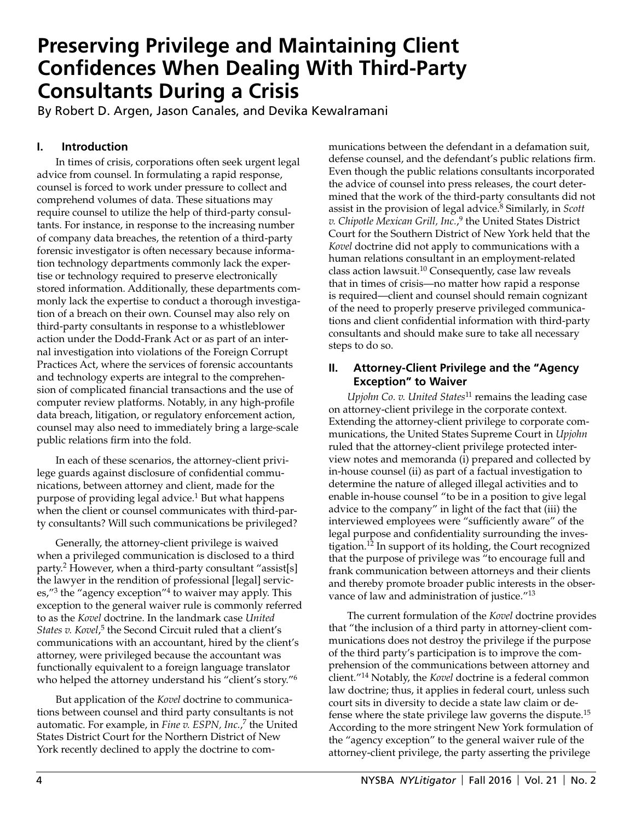# **Preserving Privilege and Maintaining Client Confidences When Dealing With Third-Party Consultants During a Crisis**

By Robert D. Argen, Jason Canales, and Devika Kewalramani

# **I. Introduction**

In times of crisis, corporations often seek urgent legal advice from counsel. In formulating a rapid response, counsel is forced to work under pressure to collect and comprehend volumes of data. These situations may require counsel to utilize the help of third-party consultants. For instance, in response to the increasing number of company data breaches, the retention of a third-party forensic investigator is often necessary because information technology departments commonly lack the expertise or technology required to preserve electronically stored information. Additionally, these departments commonly lack the expertise to conduct a thorough investigation of a breach on their own. Counsel may also rely on third-party consultants in response to a whistleblower action under the Dodd-Frank Act or as part of an internal investigation into violations of the Foreign Corrupt Practices Act, where the services of forensic accountants and technology experts are integral to the comprehension of complicated financial transactions and the use of computer review platforms. Notably, in any high-profile data breach, litigation, or regulatory enforcement action, counsel may also need to immediately bring a large-scale public relations firm into the fold.

In each of these scenarios, the attorney-client privilege guards against disclosure of confidential communications, between attorney and client, made for the purpose of providing legal advice.<sup>1</sup> But what happens when the client or counsel communicates with third-party consultants? Will such communications be privileged?

Generally, the attorney-client privilege is waived when a privileged communication is disclosed to a third party.2 However, when a third-party consultant "assist[s] the lawyer in the rendition of professional [legal] services,"3 the "agency exception"4 to waiver may apply. This exception to the general waiver rule is commonly referred to as the *Kovel* doctrine. In the landmark case *United*  States v. Kovel,<sup>5</sup> the Second Circuit ruled that a client's communications with an accountant, hired by the client's attorney, were privileged because the accountant was functionally equivalent to a foreign language translator who helped the attorney understand his "client's story."<sup>6</sup>

But application of the *Kovel* doctrine to communications between counsel and third party consultants is not automatic. For example, in *Fine v. ESPN, Inc.*, 7 the United States District Court for the Northern District of New York recently declined to apply the doctrine to communications between the defendant in a defamation suit, defense counsel, and the defendant's public relations firm. Even though the public relations consultants incorporated the advice of counsel into press releases, the court determined that the work of the third-party consultants did not assist in the provision of legal advice.8 Similarly, in *Scott v. Chipotle Mexican Grill, Inc.*, 9 the United States District Court for the Southern District of New York held that the *Kovel* doctrine did not apply to communications with a human relations consultant in an employment-related class action lawsuit.<sup>10</sup> Consequently, case law reveals that in times of crisis—no matter how rapid a response is required—client and counsel should remain cognizant of the need to properly preserve privileged communications and client confidential information with third-party consultants and should make sure to take all necessary steps to do so.

## **II. Attorney-Client Privilege and the "Agency Exception" to Waiver**

*Upjohn Co. v. United States*11 remains the leading case on attorney-client privilege in the corporate context. Extending the attorney-client privilege to corporate communications, the United States Supreme Court in *Upjohn*  ruled that the attorney-client privilege protected interview notes and memoranda (i) prepared and collected by in-house counsel (ii) as part of a factual investigation to determine the nature of alleged illegal activities and to enable in-house counsel "to be in a position to give legal advice to the company" in light of the fact that (iii) the interviewed employees were "sufficiently aware" of the legal purpose and confidentiality surrounding the investigation.12 In support of its holding, the Court recognized that the purpose of privilege was "to encourage full and frank communication between attorneys and their clients and thereby promote broader public interests in the observance of law and administration of justice."<sup>13</sup>

The current formulation of the *Kovel* doctrine provides that "the inclusion of a third party in attorney-client communications does not destroy the privilege if the purpose of the third party's participation is to improve the comprehension of the communications between attorney and client."14 Notably, the *Kovel* doctrine is a federal common law doctrine; thus, it applies in federal court, unless such court sits in diversity to decide a state law claim or defense where the state privilege law governs the dispute.15 According to the more stringent New York formulation of the "agency exception" to the general waiver rule of the attorney-client privilege, the party asserting the privilege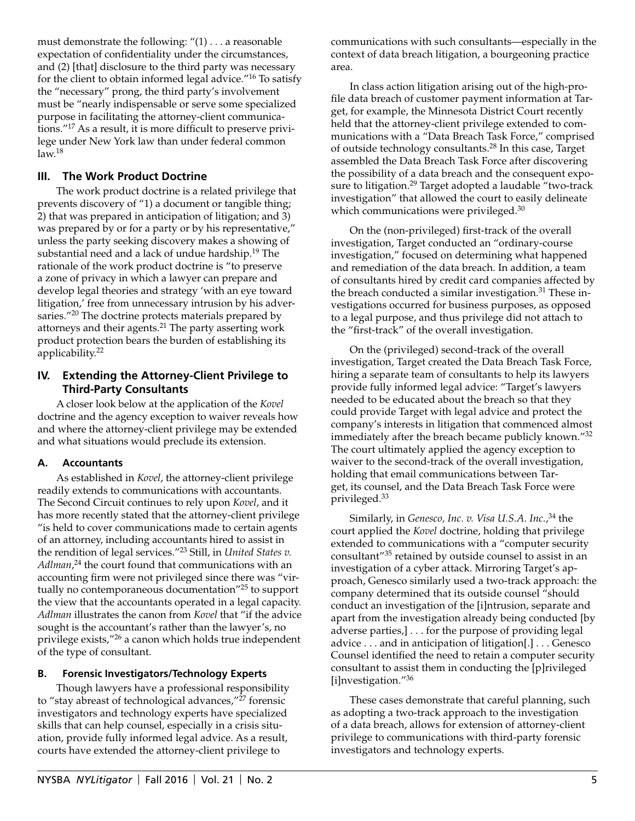must demonstrate the following: "(1) . . . a reasonable expectation of confidentiality under the circumstances, and (2) [that] disclosure to the third party was necessary for the client to obtain informed legal advice."16 To satisfy the "necessary" prong, the third party's involvement must be "nearly indispensable or serve some specialized purpose in facilitating the attorney-client communications."17 As a result, it is more difficult to preserve privilege under New York law than under federal common  $law.<sup>18</sup>$ 

## **III. The Work Product Doctrine**

The work product doctrine is a related privilege that prevents discovery of "1) a document or tangible thing; 2) that was prepared in anticipation of litigation; and 3) was prepared by or for a party or by his representative," unless the party seeking discovery makes a showing of substantial need and a lack of undue hardship.<sup>19</sup> The rationale of the work product doctrine is "to preserve a zone of privacy in which a lawyer can prepare and develop legal theories and strategy 'with an eye toward litigation,' free from unnecessary intrusion by his adversaries."<sup>20</sup> The doctrine protects materials prepared by attorneys and their agents.<sup>21</sup> The party asserting work product protection bears the burden of establishing its applicability.<sup>22</sup>

## **IV. Extending the Attorney-Client Privilege to Third-Party Consultants**

A closer look below at the application of the *Kovel*  doctrine and the agency exception to waiver reveals how and where the attorney-client privilege may be extended and what situations would preclude its extension.

#### **A. Accountants**

As established in *Kovel*, the attorney-client privilege readily extends to communications with accountants. The Second Circuit continues to rely upon *Kovel*, and it has more recently stated that the attorney-client privilege "is held to cover communications made to certain agents of an attorney, including accountants hired to assist in the rendition of legal services."23 Still, in *United States v. Adlman*, 24 the court found that communications with an accounting firm were not privileged since there was "virtually no contemporaneous documentation"25 to support the view that the accountants operated in a legal capacity. *Adlman* illustrates the canon from *Kovel* that "if the advice sought is the accountant's rather than the lawyer's, no privilege exists,"26 a canon which holds true independent of the type of consultant.

#### **B. Forensic Investigators/Technology Experts**

Though lawyers have a professional responsibility to "stay abreast of technological advances,"<sup>27</sup> forensic investigators and technology experts have specialized skills that can help counsel, especially in a crisis situation, provide fully informed legal advice. As a result, courts have extended the attorney-client privilege to

communications with such consultants—especially in the context of data breach litigation, a bourgeoning practice area.

In class action litigation arising out of the high-profile data breach of customer payment information at Target, for example, the Minnesota District Court recently held that the attorney-client privilege extended to communications with a "Data Breach Task Force," comprised of outside technology consultants.28 In this case, Target assembled the Data Breach Task Force after discovering the possibility of a data breach and the consequent exposure to litigation.<sup>29</sup> Target adopted a laudable "two-track investigation" that allowed the court to easily delineate which communications were privileged.<sup>30</sup>

On the (non-privileged) first-track of the overall investigation, Target conducted an "ordinary-course investigation," focused on determining what happened and remediation of the data breach. In addition, a team of consultants hired by credit card companies affected by the breach conducted a similar investigation. $31$  These investigations occurred for business purposes, as opposed to a legal purpose, and thus privilege did not attach to the "first-track" of the overall investigation.

On the (privileged) second-track of the overall investigation, Target created the Data Breach Task Force, hiring a separate team of consultants to help its lawyers provide fully informed legal advice: "Target's lawyers needed to be educated about the breach so that they could provide Target with legal advice and protect the company's interests in litigation that commenced almost immediately after the breach became publicly known."<sup>32</sup> The court ultimately applied the agency exception to waiver to the second-track of the overall investigation, holding that email communications between Target, its counsel, and the Data Breach Task Force were privileged.<sup>33</sup>

Similarly, in *Genesco, Inc. v. Visa U.S.A. Inc.*, 34 the court applied the *Kovel* doctrine, holding that privilege extended to communications with a "computer security consultant"35 retained by outside counsel to assist in an investigation of a cyber attack. Mirroring Target's approach, Genesco similarly used a two-track approach: the company determined that its outside counsel "should conduct an investigation of the [i]ntrusion, separate and apart from the investigation already being conducted [by adverse parties,] . . . for the purpose of providing legal advice . . . and in anticipation of litigation[.] . . . Genesco Counsel identified the need to retain a computer security consultant to assist them in conducting the [p]rivileged [i]nvestigation."<sup>36</sup>

These cases demonstrate that careful planning, such as adopting a two-track approach to the investigation of a data breach, allows for extension of attorney-client privilege to communications with third-party forensic investigators and technology experts.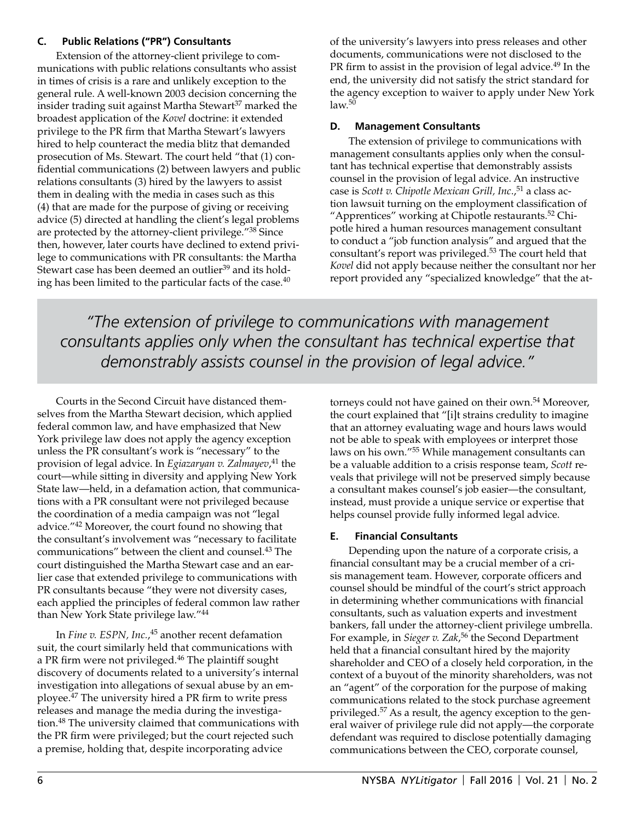#### **C. Public Relations ("PR") Consultants**

Extension of the attorney-client privilege to communications with public relations consultants who assist in times of crisis is a rare and unlikely exception to the general rule. A well-known 2003 decision concerning the insider trading suit against Martha Stewart<sup>37</sup> marked the broadest application of the *Kovel* doctrine: it extended privilege to the PR firm that Martha Stewart's lawyers hired to help counteract the media blitz that demanded prosecution of Ms. Stewart. The court held "that (1) confidential communications (2) between lawyers and public relations consultants (3) hired by the lawyers to assist them in dealing with the media in cases such as this (4) that are made for the purpose of giving or receiving advice (5) directed at handling the client's legal problems are protected by the attorney-client privilege."38 Since then, however, later courts have declined to extend privilege to communications with PR consultants: the Martha Stewart case has been deemed an outlier<sup>39</sup> and its holding has been limited to the particular facts of the case. $40$ 

of the university's lawyers into press releases and other documents, communications were not disclosed to the PR firm to assist in the provision of legal advice.<sup>49</sup> In the end, the university did not satisfy the strict standard for the agency exception to waiver to apply under New York law. $5\overline{0}$ 

# **D. Management Consultants**

The extension of privilege to communications with management consultants applies only when the consultant has technical expertise that demonstrably assists counsel in the provision of legal advice. An instructive case is *Scott v. Chipotle Mexican Grill, Inc.*,<sup>51</sup> a class action lawsuit turning on the employment classification of "Apprentices" working at Chipotle restaurants.<sup>52</sup> Chipotle hired a human resources management consultant to conduct a "job function analysis" and argued that the consultant's report was privileged.53 The court held that *Kovel* did not apply because neither the consultant nor her report provided any "specialized knowledge" that the at-

*"The extension of privilege to communications with management consultants applies only when the consultant has technical expertise that demonstrably assists counsel in the provision of legal advice."*

Courts in the Second Circuit have distanced themselves from the Martha Stewart decision, which applied federal common law, and have emphasized that New York privilege law does not apply the agency exception unless the PR consultant's work is "necessary" to the provision of legal advice. In *Egiazaryan v. Zalmayev*, 41 the court—while sitting in diversity and applying New York State law—held, in a defamation action, that communications with a PR consultant were not privileged because the coordination of a media campaign was not "legal advice."42 Moreover, the court found no showing that the consultant's involvement was "necessary to facilitate communications" between the client and counsel.43 The court distinguished the Martha Stewart case and an earlier case that extended privilege to communications with PR consultants because "they were not diversity cases, each applied the principles of federal common law rather than New York State privilege law."<sup>44</sup>

In *Fine v. ESPN, Inc.*, 45 another recent defamation suit, the court similarly held that communications with a PR firm were not privileged.<sup>46</sup> The plaintiff sought discovery of documents related to a university's internal investigation into allegations of sexual abuse by an employee.47 The university hired a PR firm to write press releases and manage the media during the investigation.48 The university claimed that communications with the PR firm were privileged; but the court rejected such a premise, holding that, despite incorporating advice

torneys could not have gained on their own.<sup>54</sup> Moreover, the court explained that "[i]t strains credulity to imagine that an attorney evaluating wage and hours laws would not be able to speak with employees or interpret those laws on his own."55 While management consultants can be a valuable addition to a crisis response team, *Scott* reveals that privilege will not be preserved simply because a consultant makes counsel's job easier—the consultant, instead, must provide a unique service or expertise that helps counsel provide fully informed legal advice.

# **E. Financial Consultants**

Depending upon the nature of a corporate crisis, a financial consultant may be a crucial member of a crisis management team. However, corporate officers and counsel should be mindful of the court's strict approach in determining whether communications with financial consultants, such as valuation experts and investment bankers, fall under the attorney-client privilege umbrella. For example, in *Sieger v. Zak*, 56 the Second Department held that a financial consultant hired by the majority shareholder and CEO of a closely held corporation, in the context of a buyout of the minority shareholders, was not an "agent" of the corporation for the purpose of making communications related to the stock purchase agreement privileged.<sup>57</sup> As a result, the agency exception to the general waiver of privilege rule did not apply—the corporate defendant was required to disclose potentially damaging communications between the CEO, corporate counsel,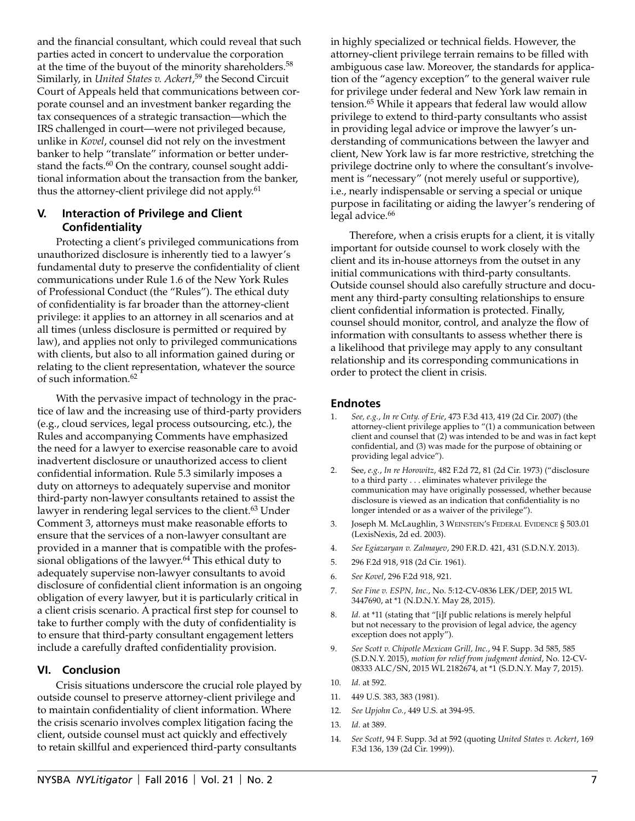and the financial consultant, which could reveal that such parties acted in concert to undervalue the corporation at the time of the buyout of the minority shareholders.<sup>58</sup> Similarly, in *United States v. Ackert*, 59 the Second Circuit Court of Appeals held that communications between corporate counsel and an investment banker regarding the tax consequences of a strategic transaction—which the IRS challenged in court—were not privileged because, unlike in *Kovel*, counsel did not rely on the investment banker to help "translate" information or better understand the facts.<sup>60</sup> On the contrary, counsel sought additional information about the transaction from the banker, thus the attorney-client privilege did not apply.<sup>61</sup>

#### **V. Interaction of Privilege and Client Confidentiality**

Protecting a client's privileged communications from unauthorized disclosure is inherently tied to a lawyer's fundamental duty to preserve the confidentiality of client communications under Rule 1.6 of the New York Rules of Professional Conduct (the "Rules"). The ethical duty of confidentiality is far broader than the attorney-client privilege: it applies to an attorney in all scenarios and at all times (unless disclosure is permitted or required by law), and applies not only to privileged communications with clients, but also to all information gained during or relating to the client representation, whatever the source of such information.62

With the pervasive impact of technology in the practice of law and the increasing use of third-party providers (e.g., cloud services, legal process outsourcing, etc.), the Rules and accompanying Comments have emphasized the need for a lawyer to exercise reasonable care to avoid inadvertent disclosure or unauthorized access to client confidential information. Rule 5.3 similarly imposes a duty on attorneys to adequately supervise and monitor third-party non-lawyer consultants retained to assist the lawyer in rendering legal services to the client.<sup>63</sup> Under Comment 3, attorneys must make reasonable efforts to ensure that the services of a non-lawyer consultant are provided in a manner that is compatible with the professional obligations of the lawyer.<sup>64</sup> This ethical duty to adequately supervise non-lawyer consultants to avoid disclosure of confidential client information is an ongoing obligation of every lawyer, but it is particularly critical in a client crisis scenario. A practical first step for counsel to take to further comply with the duty of confidentiality is to ensure that third-party consultant engagement letters include a carefully drafted confidentiality provision.

#### **VI. Conclusion**

Crisis situations underscore the crucial role played by outside counsel to preserve attorney-client privilege and to maintain confidentiality of client information. Where the crisis scenario involves complex litigation facing the client, outside counsel must act quickly and effectively to retain skillful and experienced third-party consultants

in highly specialized or technical fields. However, the attorney-client privilege terrain remains to be filled with ambiguous case law. Moreover, the standards for application of the "agency exception" to the general waiver rule for privilege under federal and New York law remain in tension.65 While it appears that federal law would allow privilege to extend to third-party consultants who assist in providing legal advice or improve the lawyer's understanding of communications between the lawyer and client, New York law is far more restrictive, stretching the privilege doctrine only to where the consultant's involvement is "necessary" (not merely useful or supportive), i.e., nearly indispensable or serving a special or unique purpose in facilitating or aiding the lawyer's rendering of legal advice.<sup>66</sup>

Therefore, when a crisis erupts for a client, it is vitally important for outside counsel to work closely with the client and its in-house attorneys from the outset in any initial communications with third-party consultants. Outside counsel should also carefully structure and document any third-party consulting relationships to ensure client confidential information is protected. Finally, counsel should monitor, control, and analyze the flow of information with consultants to assess whether there is a likelihood that privilege may apply to any consultant relationship and its corresponding communications in order to protect the client in crisis.

#### **Endnotes**

- 1. *See, e.g.*, *In re Cnty. of Erie*, 473 F.3d 413, 419 (2d Cir. 2007) (the attorney-client privilege applies to "(1) a communication between client and counsel that (2) was intended to be and was in fact kept confidential, and (3) was made for the purpose of obtaining or providing legal advice").
- 2. See, *e.g.*, *In re Horowitz*, 482 F.2d 72, 81 (2d Cir. 1973) ("disclosure to a third party . . . eliminates whatever privilege the communication may have originally possessed, whether because disclosure is viewed as an indication that confidentiality is no longer intended or as a waiver of the privilege").
- 3. Joseph M. McLaughlin, 3 Weinstein's Federal Evidence § 503.01 (LexisNexis, 2d ed. 2003).
- 4. *See Egiazaryan v. Zalmayev*, 290 F.R.D. 421, 431 (S.D.N.Y. 2013).
- 5. 296 F.2d 918, 918 (2d Cir. 1961).
- 6. *See Kovel*, 296 F.2d 918, 921.
- 7. *See Fine v. ESPN, Inc.*, No. 5:12-CV-0836 LEK/DEP, 2015 WL 3447690, at \*1 (N.D.N.Y. May 28, 2015).
- 8. *Id.* at \*11 (stating that "[i]f public relations is merely helpful but not necessary to the provision of legal advice, the agency exception does not apply").
- 9. *See Scott v. Chipotle Mexican Grill, Inc.*, 94 F. Supp. 3d 585, 585 (S.D.N.Y. 2015), *motion for relief from judgment denied*, No. 12-CV-08333 ALC/SN, 2015 WL 2182674, at \*1 (S.D.N.Y. May 7, 2015).
- 10. *Id.* at 592.
- 11. 449 U.S. 383, 383 (1981).
- 12. *See Upjohn Co.*, 449 U.S. at 394-95.
- 13. *Id.* at 389.
- 14. *See Scott*, 94 F. Supp. 3d at 592 (quoting *United States v. Ackert*, 169 F.3d 136, 139 (2d Cir. 1999)).